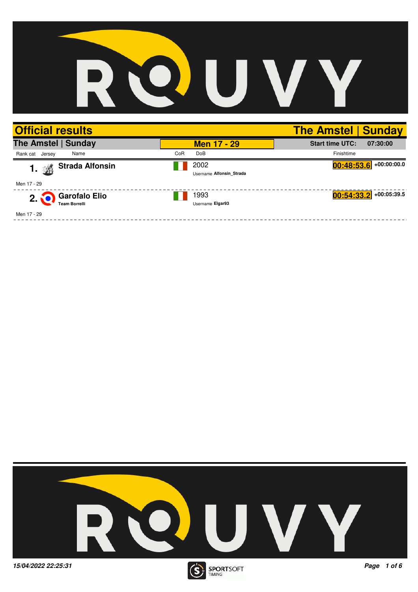## QU V D

| <b>Official results</b>                                      |     |                                  | <b>The Amstel   Sunday</b>         |
|--------------------------------------------------------------|-----|----------------------------------|------------------------------------|
| The Amstel   Sunday                                          |     | <b>Men 17 - 29</b>               | <b>Start time UTC:</b><br>07:30:00 |
| Name<br>Rank cat Jersey                                      | CoR | DoB                              | Finishtime                         |
| <b>Strada Alfonsin</b><br>添<br>1.                            |     | 2002<br>Username Alfonsin Strada | $00:48:53.6$ +00:00:00.0           |
| Men 17 - 29                                                  |     |                                  |                                    |
| <b>Garofalo Elio</b><br>$2\tilde{.}$<br><b>Team Borrelli</b> |     | 1993<br>Username Elgar93         | $+00:05:39.5$<br>00:54:33.2        |
| Men 17 - 29                                                  |     |                                  |                                    |

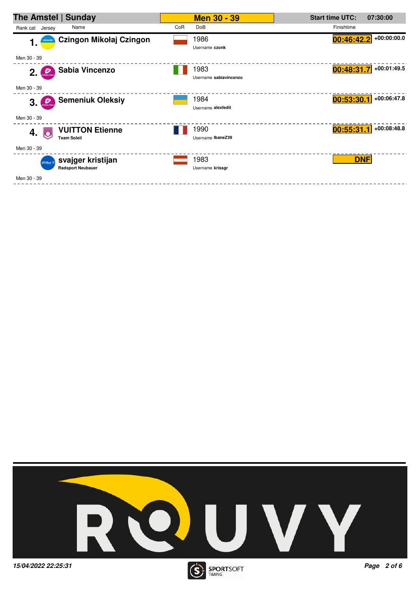| The Amstel   Sunday                                          | <b>Men 30 - 39</b>             | <b>Start time UTC:</b><br>07:30:00 |
|--------------------------------------------------------------|--------------------------------|------------------------------------|
| Rank cat Jersey<br>Name                                      | CoR<br>DoB                     | Finishtime                         |
| Czingon Mikołaj Czingon<br><b>UKRAINE</b><br>1.              | 1986<br>Username czonk         | $+00:00:00.0$<br>[00:46:42.2]      |
| Men 30 - 39                                                  |                                |                                    |
| Sabia Vincenzo<br>Đ<br>2.<br>PEDALITALY                      | 1983<br>Username sabiavincenzo | +00:01:49.5<br>00:48:31.7          |
| Men 30 - 39                                                  |                                |                                    |
| <b>Semeniuk Oleksiy</b><br>3. 22                             | 1984<br>Username alexfedit     | +00:06:47.8<br>00:53:30.1          |
| Men 30 - 39                                                  |                                |                                    |
| <b>VUITTON Etienne</b><br>4.<br><b>Team Soleil</b>           | 1990<br>Username IbaneZ39      | +00:08:48.8<br>00:55:31.1          |
| Men 30 - 39                                                  |                                |                                    |
| svajger kristijan<br>Grant Tondo<br><b>Radsport Neubauer</b> | 1983<br>Username krissgr       | <b>DNF</b>                         |
| Men 30 - 39                                                  |                                |                                    |

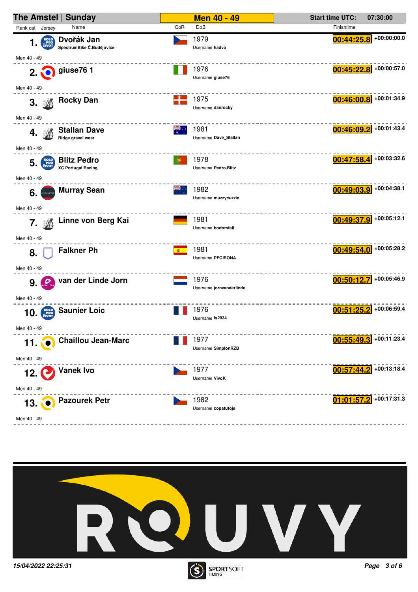

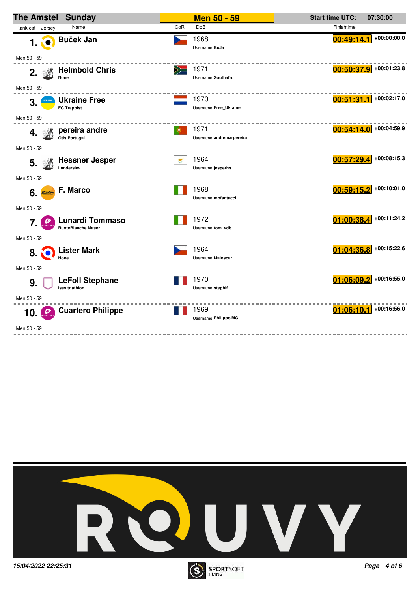



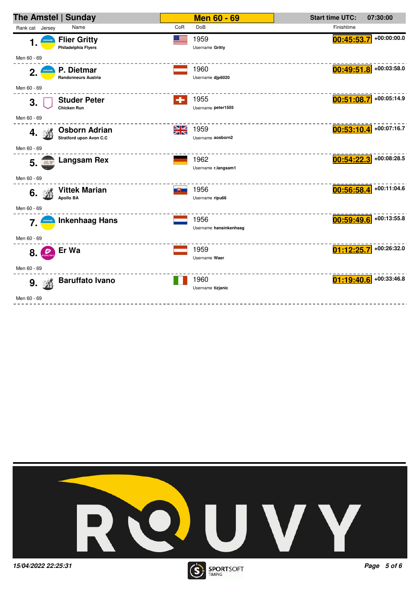| The Amstel   Sunday                                         | <b>Men 60 - 69</b>                     | <b>Start time UTC:</b><br>07:30:00 |
|-------------------------------------------------------------|----------------------------------------|------------------------------------|
| Name<br>Rank cat Jersey                                     | CoR<br><b>DoB</b>                      | Finishtime                         |
| <b>Flier Gritty</b><br>UKRAINE<br>1.<br>Philadelphia Flyers | 1959<br>Username Gritty                | $+00:00:00.0$<br>00:45:53.7        |
| Men 60 - 69                                                 |                                        |                                    |
| P. Dietmar<br>2.<br>UKRAINE<br><b>Randonneurs Austria</b>   | 1960<br>Username djp6020               | +00:03:58.0<br>00:49:51.8          |
| Men 60 - 69                                                 |                                        |                                    |
| <b>Studer Peter</b><br>3.<br><b>Chicken Run</b>             | 1955<br>÷<br>Username peter1505        | $+00:05:14.9$<br>00:51:08.7        |
| Men 60 - 69                                                 |                                        |                                    |
| Osborn Adrian<br>4.<br><b>Stratford upon Avon C.C</b>       | <b>NK</b><br>1959<br>Username aosborn2 | $00:53:10.4$ +00:07:16.7           |
| Men 60 - 69                                                 |                                        |                                    |
| <b>Langsam Rex</b><br>5.<br>60. W                           | 1962<br>Username r.langsam1            | +00:08:28.5<br>00:54:22.3          |
| Men 60 - 69                                                 |                                        |                                    |
| <b>Vittek Marian</b><br>6.<br><b>Apollo BA</b>              | 1956<br>ᅝ<br>Username ripu66           | $00:56:58.4$ +00:11:04.6           |
| Men 60 - 69                                                 |                                        |                                    |
| <b>Inkenhaag Hans</b><br>7.                                 | 1956<br>Username hansinkenhaag         | +00:13:55.8<br>00:59:49.6          |
| Men 60 - 69                                                 |                                        |                                    |
| Er Wa<br>Đ<br>8.                                            | 1959<br>Username Waer                  | +00:26:32.0<br>01:12:25.7          |
| Men 60 - 69                                                 |                                        |                                    |
| <b>Baruffato Ivano</b><br>9. 遜                              | 1960<br>Username tizjanic              | $01:19:40.6$ +00:33:46.8           |
| Men 60 - 69                                                 |                                        |                                    |
|                                                             |                                        |                                    |